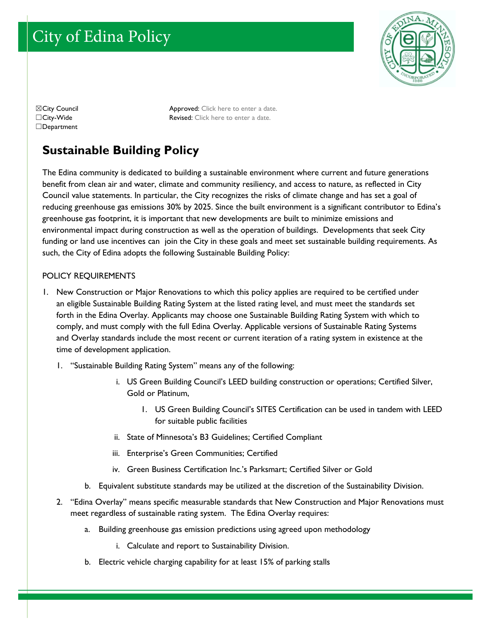# City of Edina Policy



□Department

☒City Council Approved: Click here to enter a date. ☐City-Wide Revised: Click here to enter a date.

# **Sustainable Building Policy**

The Edina community is dedicated to building a sustainable environment where current and future generations benefit from clean air and water, climate and community resiliency, and access to nature, as reflected in City Council value statements. In particular, the City recognizes the risks of climate change and has set a goal of reducing greenhouse gas emissions 30% by 2025. Since the built environment is a significant contributor to Edina's greenhouse gas footprint, it is important that new developments are built to minimize emissions and environmental impact during construction as well as the operation of buildings. Developments that seek City funding or land use incentives can join the City in these goals and meet set sustainable building requirements. As such, the City of Edina adopts the following Sustainable Building Policy:

## POLICY REQUIREMENTS

- 1. New Construction or Major Renovations to which this policy applies are required to be certified under an eligible Sustainable Building Rating System at the listed rating level, and must meet the standards set forth in the Edina Overlay. Applicants may choose one Sustainable Building Rating System with which to comply, and must comply with the full Edina Overlay. Applicable versions of Sustainable Rating Systems and Overlay standards include the most recent or current iteration of a rating system in existence at the time of development application.
	- 1. "Sustainable Building Rating System" means any of the following:
		- i. US Green Building Council's LEED building construction or operations; Certified Silver, Gold or Platinum,
			- 1. US Green Building Council's SITES Certification can be used in tandem with LEED for suitable public facilities
		- ii. State of Minnesota's B3 Guidelines; Certified Compliant
		- iii. Enterprise's Green Communities; Certified
		- iv. Green Business Certification Inc.'s Parksmart; Certified Silver or Gold
		- b. Equivalent substitute standards may be utilized at the discretion of the Sustainability Division.
	- 2. "Edina Overlay" means specific measurable standards that New Construction and Major Renovations must meet regardless of sustainable rating system. The Edina Overlay requires:
		- a. Building greenhouse gas emission predictions using agreed upon methodology
			- i. Calculate and report to Sustainability Division.
		- b. Electric vehicle charging capability for at least 15% of parking stalls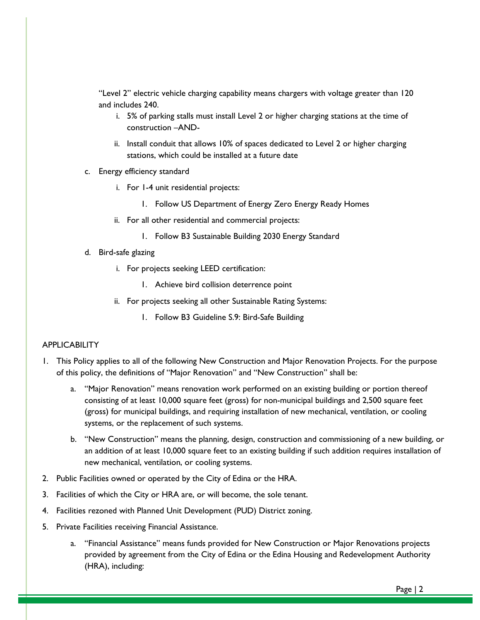"Level 2" electric vehicle charging capability means chargers with voltage greater than 120 and includes 240.

- i. 5% of parking stalls must install Level 2 or higher charging stations at the time of construction –AND-
- ii. Install conduit that allows 10% of spaces dedicated to Level 2 or higher charging stations, which could be installed at a future date
- c. Energy efficiency standard
	- i. For 1-4 unit residential projects:
		- 1. Follow US Department of Energy Zero Energy Ready Homes
	- ii. For all other residential and commercial projects:
		- 1. Follow B3 Sustainable Building 2030 Energy Standard
- d. Bird-safe glazing
	- i. For projects seeking LEED certification:
		- 1. Achieve bird collision deterrence point
	- ii. For projects seeking all other Sustainable Rating Systems:
		- 1. Follow B3 Guideline S.9: Bird-Safe Building

### **APPLICABILITY**

- 1. This Policy applies to all of the following New Construction and Major Renovation Projects. For the purpose of this policy, the definitions of "Major Renovation" and "New Construction" shall be:
	- a. "Major Renovation" means renovation work performed on an existing building or portion thereof consisting of at least 10,000 square feet (gross) for non-municipal buildings and 2,500 square feet (gross) for municipal buildings, and requiring installation of new mechanical, ventilation, or cooling systems, or the replacement of such systems.
	- b. "New Construction" means the planning, design, construction and commissioning of a new building, or an addition of at least 10,000 square feet to an existing building if such addition requires installation of new mechanical, ventilation, or cooling systems.
- 2. Public Facilities owned or operated by the City of Edina or the HRA.
- 3. Facilities of which the City or HRA are, or will become, the sole tenant.
- 4. Facilities rezoned with Planned Unit Development (PUD) District zoning.
- 5. Private Facilities receiving Financial Assistance.
	- a. "Financial Assistance" means funds provided for New Construction or Major Renovations projects provided by agreement from the City of Edina or the Edina Housing and Redevelopment Authority (HRA), including: